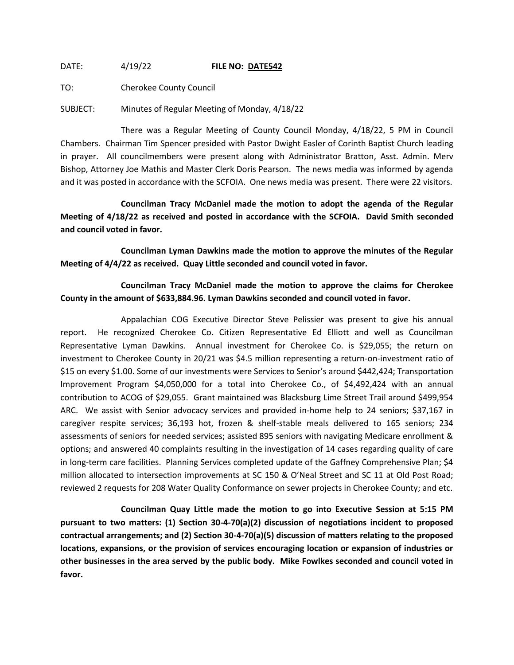DATE: 4/19/22 **FILE NO: DATE542**

TO: Cherokee County Council

SUBJECT: Minutes of Regular Meeting of Monday, 4/18/22

There was a Regular Meeting of County Council Monday, 4/18/22, 5 PM in Council Chambers. Chairman Tim Spencer presided with Pastor Dwight Easler of Corinth Baptist Church leading in prayer. All councilmembers were present along with Administrator Bratton, Asst. Admin. Merv Bishop, Attorney Joe Mathis and Master Clerk Doris Pearson. The news media was informed by agenda and it was posted in accordance with the SCFOIA. One news media was present. There were 22 visitors.

**Councilman Tracy McDaniel made the motion to adopt the agenda of the Regular Meeting of 4/18/22 as received and posted in accordance with the SCFOIA. David Smith seconded and council voted in favor.**

**Councilman Lyman Dawkins made the motion to approve the minutes of the Regular Meeting of 4/4/22 as received. Quay Little seconded and council voted in favor.**

**Councilman Tracy McDaniel made the motion to approve the claims for Cherokee County in the amount of \$633,884.96. Lyman Dawkins seconded and council voted in favor.**

Appalachian COG Executive Director Steve Pelissier was present to give his annual report. He recognized Cherokee Co. Citizen Representative Ed Elliott and well as Councilman Representative Lyman Dawkins. Annual investment for Cherokee Co. is \$29,055; the return on investment to Cherokee County in 20/21 was \$4.5 million representing a return-on-investment ratio of \$15 on every \$1.00. Some of our investments were Services to Senior's around \$442,424; Transportation Improvement Program \$4,050,000 for a total into Cherokee Co., of \$4,492,424 with an annual contribution to ACOG of \$29,055. Grant maintained was Blacksburg Lime Street Trail around \$499,954 ARC. We assist with Senior advocacy services and provided in-home help to 24 seniors; \$37,167 in caregiver respite services; 36,193 hot, frozen & shelf-stable meals delivered to 165 seniors; 234 assessments of seniors for needed services; assisted 895 seniors with navigating Medicare enrollment & options; and answered 40 complaints resulting in the investigation of 14 cases regarding quality of care in long-term care facilities. Planning Services completed update of the Gaffney Comprehensive Plan; \$4 million allocated to intersection improvements at SC 150 & O'Neal Street and SC 11 at Old Post Road; reviewed 2 requests for 208 Water Quality Conformance on sewer projects in Cherokee County; and etc.

**Councilman Quay Little made the motion to go into Executive Session at 5:15 PM pursuant to two matters: (1) Section 30-4-70(a)(2) discussion of negotiations incident to proposed contractual arrangements; and (2) Section 30-4-70(a)(5) discussion of matters relating to the proposed locations, expansions, or the provision of services encouraging location or expansion of industries or other businesses in the area served by the public body. Mike Fowlkes seconded and council voted in favor.**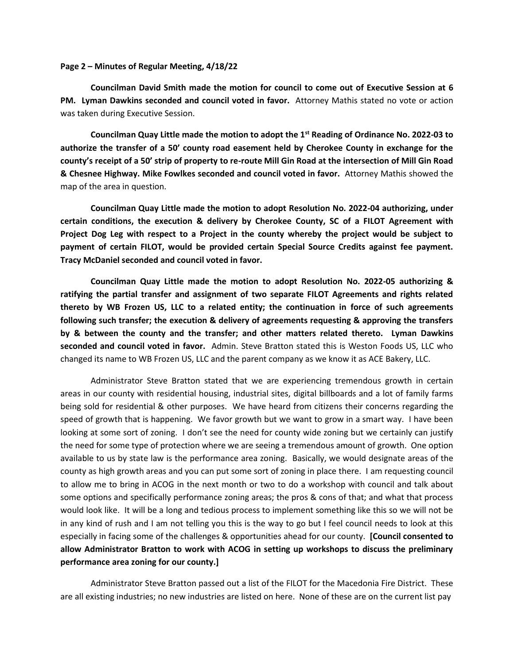## **Page 2 – Minutes of Regular Meeting, 4/18/22**

**Councilman David Smith made the motion for council to come out of Executive Session at 6 PM. Lyman Dawkins seconded and council voted in favor.** Attorney Mathis stated no vote or action was taken during Executive Session.

**Councilman Quay Little made the motion to adopt the 1st Reading of Ordinance No. 2022-03 to authorize the transfer of a 50' county road easement held by Cherokee County in exchange for the county's receipt of a 50' strip of property to re-route Mill Gin Road at the intersection of Mill Gin Road & Chesnee Highway. Mike Fowlkes seconded and council voted in favor.** Attorney Mathis showed the map of the area in question.

**Councilman Quay Little made the motion to adopt Resolution No. 2022-04 authorizing, under certain conditions, the execution & delivery by Cherokee County, SC of a FILOT Agreement with Project Dog Leg with respect to a Project in the county whereby the project would be subject to payment of certain FILOT, would be provided certain Special Source Credits against fee payment. Tracy McDaniel seconded and council voted in favor.**

**Councilman Quay Little made the motion to adopt Resolution No. 2022-05 authorizing & ratifying the partial transfer and assignment of two separate FILOT Agreements and rights related thereto by WB Frozen US, LLC to a related entity; the continuation in force of such agreements following such transfer; the execution & delivery of agreements requesting & approving the transfers by & between the county and the transfer; and other matters related thereto. Lyman Dawkins seconded and council voted in favor.** Admin. Steve Bratton stated this is Weston Foods US, LLC who changed its name to WB Frozen US, LLC and the parent company as we know it as ACE Bakery, LLC.

Administrator Steve Bratton stated that we are experiencing tremendous growth in certain areas in our county with residential housing, industrial sites, digital billboards and a lot of family farms being sold for residential & other purposes. We have heard from citizens their concerns regarding the speed of growth that is happening. We favor growth but we want to grow in a smart way. I have been looking at some sort of zoning. I don't see the need for county wide zoning but we certainly can justify the need for some type of protection where we are seeing a tremendous amount of growth. One option available to us by state law is the performance area zoning. Basically, we would designate areas of the county as high growth areas and you can put some sort of zoning in place there. I am requesting council to allow me to bring in ACOG in the next month or two to do a workshop with council and talk about some options and specifically performance zoning areas; the pros & cons of that; and what that process would look like. It will be a long and tedious process to implement something like this so we will not be in any kind of rush and I am not telling you this is the way to go but I feel council needs to look at this especially in facing some of the challenges & opportunities ahead for our county. **[Council consented to allow Administrator Bratton to work with ACOG in setting up workshops to discuss the preliminary performance area zoning for our county.]**

Administrator Steve Bratton passed out a list of the FILOT for the Macedonia Fire District. These are all existing industries; no new industries are listed on here. None of these are on the current list pay